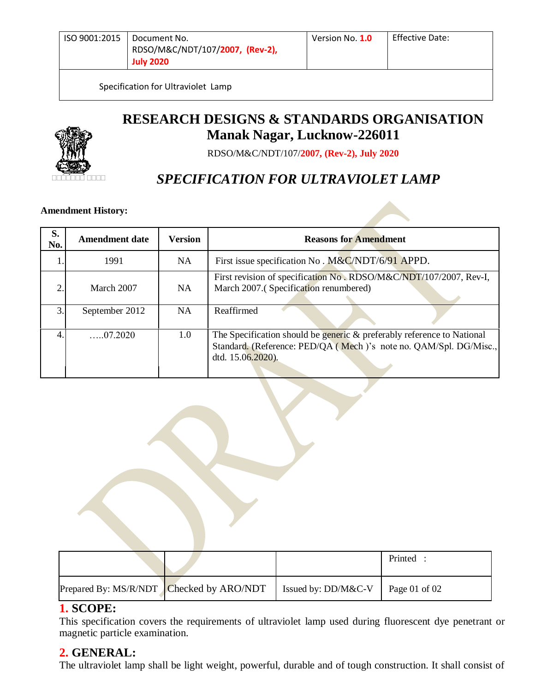Specification for Ultraviolet Lamp



**RESEARCH DESIGNS & STANDARDS ORGANISATION Manak Nagar, Lucknow-226011**

RDSO/M&C/NDT/107/**2007, (Rev-2), July 2020**

# *SPECIFICATION FOR ULTRAVIOLET LAMP*

## **Amendment History:**

| S.<br>No.      | <b>Amendment date</b> | <b>Version</b> | <b>Reasons for Amendment</b>                                                                                                                                     |  |
|----------------|-----------------------|----------------|------------------------------------------------------------------------------------------------------------------------------------------------------------------|--|
|                | 1991                  | NA.            | First issue specification No. M&C/NDT/6/91 APPD.                                                                                                                 |  |
| $\mathfrak{D}$ | March 2007            | <b>NA</b>      | First revision of specification No. RDSO/M&C/NDT/107/2007, Rev-I,<br>March 2007.(Specification renumbered)                                                       |  |
| 3.             | September 2012        | NA             | Reaffirmed                                                                                                                                                       |  |
| $\overline{4}$ | $\dots 07.2020$       | 1.0            | The Specification should be generic & preferably reference to National<br>Standard. (Reference: PED/QA (Mech)'s note no. QAM/Spl. DG/Misc.,<br>dtd. 15.06.2020). |  |

|                                          |                     | Printed :     |
|------------------------------------------|---------------------|---------------|
| Prepared By: MS/R/NDT Checked by ARO/NDT | Issued by: DD/M&C-V | Page 01 of 02 |

#### **1. SCOPE:**

This specification covers the requirements of ultraviolet lamp used during fluorescent dye penetrant or magnetic particle examination.

#### **2. GENERAL:**

The ultraviolet lamp shall be light weight, powerful, durable and of tough construction. It shall consist of